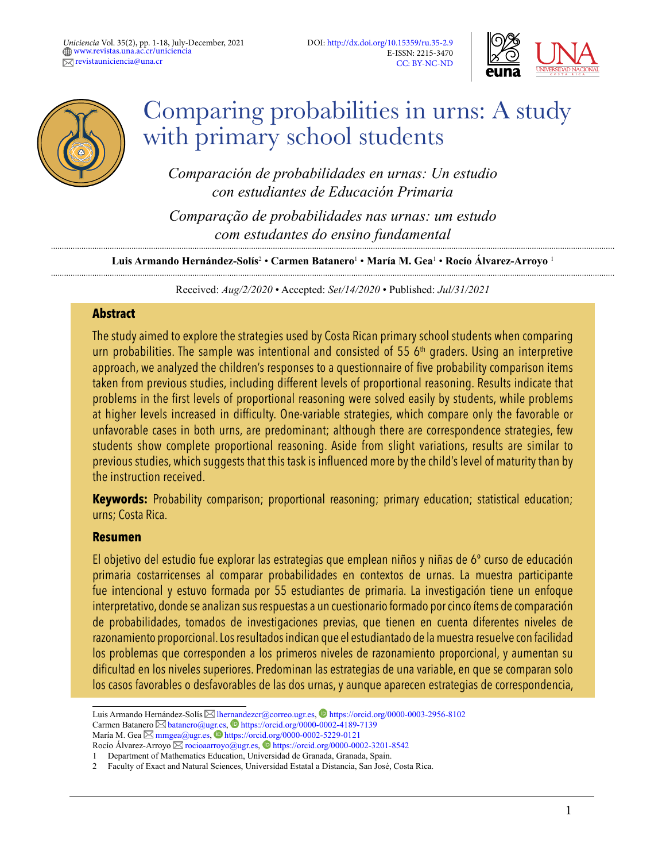



# Comparing probabilities in urns: A study with primary school students

*Comparación de probabilidades en urnas: Un estudio con estudiantes de Educación Primaria* 

*Comparação de probabilidades nas urnas: um estudo com estudantes do ensino fundamental*

**Luis Armando Hernández-Solís**<sup>2</sup> • **Carmen Batanero**<sup>1</sup> • **María M. Gea**<sup>1</sup> • **Rocío Álvarez-Arroyo** <sup>1</sup>

Received: *Aug/2/2020* • Accepted: *Set/14/2020* • Published: *Jul/31/2021*

#### **Abstract**

The study aimed to explore the strategies used by Costa Rican primary school students when comparing urn probabilities. The sample was intentional and consisted of 55  $6<sup>th</sup>$  graders. Using an interpretive approach, we analyzed the children's responses to a questionnaire of five probability comparison items taken from previous studies, including different levels of proportional reasoning. Results indicate that problems in the first levels of proportional reasoning were solved easily by students, while problems at higher levels increased in difficulty. One-variable strategies, which compare only the favorable or unfavorable cases in both urns, are predominant; although there are correspondence strategies, few students show complete proportional reasoning. Aside from slight variations, results are similar to previous studies, which suggests that this task is influenced more by the child's level of maturity than by the instruction received.

**Keywords:** Probability comparison; proportional reasoning; primary education; statistical education; urns; Costa Rica.

#### **Resumen**

El objetivo del estudio fue explorar las estrategias que emplean niños y niñas de 6º curso de educación primaria costarricenses al comparar probabilidades en contextos de urnas. La muestra participante fue intencional y estuvo formada por 55 estudiantes de primaria. La investigación tiene un enfoque interpretativo, donde se analizan sus respuestas a un cuestionario formado por cinco ítems de comparación de probabilidades, tomados de investigaciones previas, que tienen en cuenta diferentes niveles de razonamiento proporcional. Los resultados indican que el estudiantado de la muestra resuelve con facilidad los problemas que corresponden a los primeros niveles de razonamiento proporcional, y aumentan su dificultad en los niveles superiores. Predominan las estrategias de una variable, en que se comparan solo los casos favorables o desfavorables de las dos urnas, y aunque aparecen estrategias de correspondencia,

Luis Armando Hernández-Solís  $\boxtimes$  Ihernandezcr@correo.ugr.es,  $\bullet$  <https://orcid.org/0000-0003-2956-8102> Carmen Batanero  $\boxtimes$  [batanero@ugr.es,](mailto:batanero%40ugr.es?subject=)  $\bullet$  <https://orcid.org/0000-0002-4189-7139> María M. Gea  $\boxtimes$  [mmgea@ugr.es,](mailto:mmgea%40ugr.es?subject=)  $\bullet$  [https://orcid.org/0000-0002-5229-0121]( https://orcid.org/0000-0002-5229-0121) Rocío Álvarez-Arroyo  $\boxtimes$  [rocioaarroyo@ugr.es](mailto:rocioaarroyo%40ugr.es?subject=),  $\bullet$  https://orcid.org/0000-0002-3201-8542

<sup>1</sup> Department of Mathematics Education, Universidad de Granada, Granada, Spain.

<sup>2</sup> Faculty of Exact and Natural Sciences, Universidad Estatal a Distancia, San José, Costa Rica.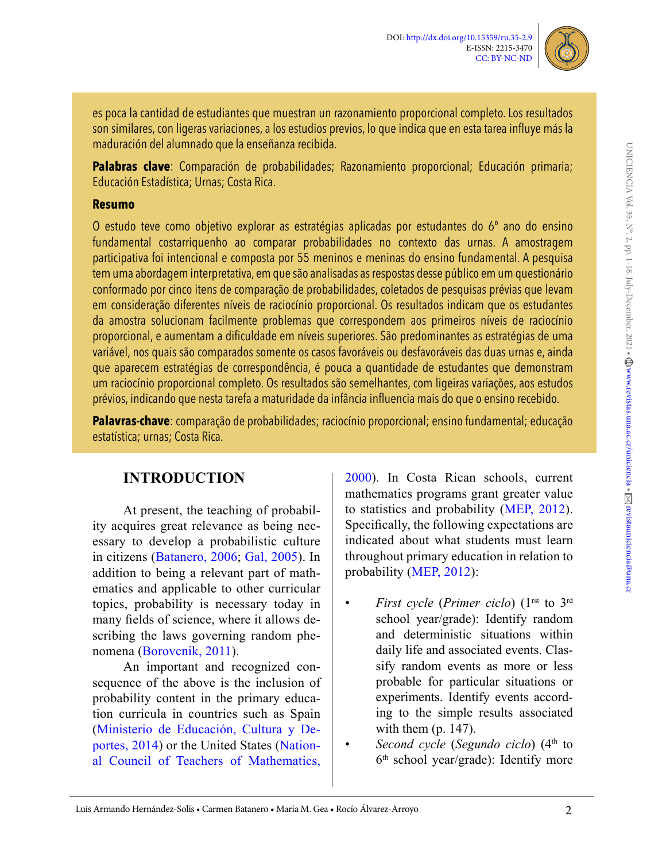

es poca la cantidad de estudiantes que muestran un razonamiento proporcional completo. Los resultados son similares, con ligeras variaciones, a los estudios previos, lo que indica que en esta tarea influye más la maduración del alumnado que la enseñanza recibida.

**Palabras clave**: Comparación de probabilidades; Razonamiento proporcional; Educación primaria; Educación Estadística; Urnas; Costa Rica.

#### **Resumo**

O estudo teve como objetivo explorar as estratégias aplicadas por estudantes do 6º ano do ensino fundamental costarriquenho ao comparar probabilidades no contexto das urnas. A amostragem participativa foi intencional e composta por 55 meninos e meninas do ensino fundamental. A pesquisa tem uma abordagem interpretativa, em que são analisadas as respostas desse público em um questionário conformado por cinco itens de comparação de probabilidades, coletados de pesquisas prévias que levam em consideração diferentes níveis de raciocínio proporcional. Os resultados indicam que os estudantes da amostra solucionam facilmente problemas que correspondem aos primeiros níveis de raciocínio proporcional, e aumentam a dificuldade em níveis superiores. São predominantes as estratégias de uma variável, nos quais são comparados somente os casos favoráveis ou desfavoráveis das duas urnas e, ainda que aparecem estratégias de correspondência, é pouca a quantidade de estudantes que demonstram um raciocínio proporcional completo. Os resultados são semelhantes, com ligeiras variações, aos estudos prévios, indicando que nesta tarefa a maturidade da infância influencia mais do que o ensino recebido.

**Palavras-chave**: comparação de probabilidades; raciocínio proporcional; ensino fundamental; educação estatística; urnas; Costa Rica.

# **INTRODUCTION**

At present, the teaching of probability acquires great relevance as being necessary to develop a probabilistic culture in citizens [\(Batanero, 2006](#page-13-0); [Gal, 2005\)](#page-13-1). In addition to being a relevant part of mathematics and applicable to other curricular topics, probability is necessary today in many fields of science, where it allows describing the laws governing random phenomena ([Borovcnik, 2011](#page-13-2)).

An important and recognized consequence of the above is the inclusion of probability content in the primary education curricula in countries such as Spain [\(Ministerio de Educación, Cultura y De](#page-14-0)[portes, 2014\)](#page-14-0) or the United States [\(Nation](#page-14-1)[al Council of Teachers of Mathematics,](#page-14-1) 

[2000\)](#page-14-1). In Costa Rican schools, current mathematics programs grant greater value to statistics and probability ([MEP, 2012\)](#page-14-2). Specifically, the following expectations are indicated about what students must learn throughout primary education in relation to probability ([MEP, 2012\)](#page-14-2):

- *First cycle* (*Primer ciclo*) (1<sup>rst</sup> to 3<sup>rd</sup> school year/grade): Identify random and deterministic situations within daily life and associated events. Classify random events as more or less probable for particular situations or experiments. Identify events according to the simple results associated with them (p. 147).
- *Second cycle* (*Segundo ciclo*) (4<sup>th</sup> to 6th school year/grade): Identify more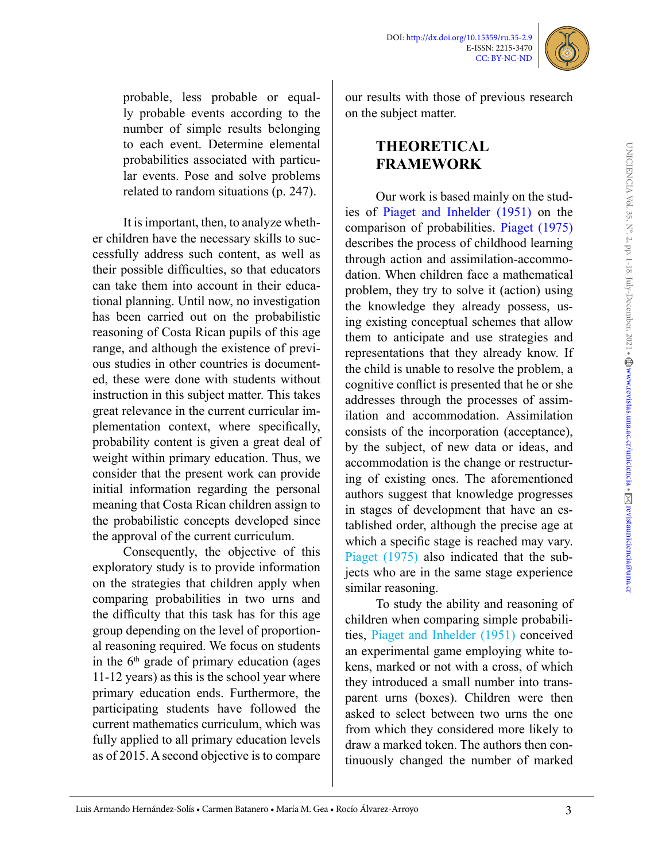

probable, less probable or equally probable events according to the number of simple results belonging to each event. Determine elemental probabilities associated with particular events. Pose and solve problems related to random situations (p. 247).

It is important, then, to analyze whether children have the necessary skills to successfully address such content, as well as their possible difficulties, so that educators can take them into account in their educational planning. Until now, no investigation has been carried out on the probabilistic reasoning of Costa Rican pupils of this age range, and although the existence of previous studies in other countries is documented, these were done with students without instruction in this subject matter. This takes great relevance in the current curricular implementation context, where specifically, probability content is given a great deal of weight within primary education. Thus, we consider that the present work can provide initial information regarding the personal meaning that Costa Rican children assign to the probabilistic concepts developed since the approval of the current curriculum.

Consequently, the objective of this exploratory study is to provide information on the strategies that children apply when comparing probabilities in two urns and the difficulty that this task has for this age group depending on the level of proportional reasoning required. We focus on students in the  $6<sup>th</sup>$  grade of primary education (ages 11-12 years) as this is the school year where primary education ends. Furthermore, the participating students have followed the current mathematics curriculum, which was fully applied to all primary education levels as of 2015. A second objective is to compare

our results with those of previous research on the subject matter.

# **THEORETICAL FRAMEWORK**

Our work is based mainly on the studies of [Piaget and Inhelder \(1951\)](#page-14-3) on the comparison of probabilities. [Piaget \(1975\)](#page-14-4)  describes the process of childhood learning through action and assimilation-accommodation. When children face a mathematical problem, they try to solve it (action) using the knowledge they already possess, using existing conceptual schemes that allow them to anticipate and use strategies and representations that they already know. If the child is unable to resolve the problem, a cognitive conflict is presented that he or she addresses through the processes of assimilation and accommodation. Assimilation consists of the incorporation (acceptance), by the subject, of new data or ideas, and accommodation is the change or restructuring of existing ones. The aforementioned authors suggest that knowledge progresses in stages of development that have an established order, although the precise age at which a specific stage is reached may vary. Piaget (1975) also indicated that the subjects who are in the same stage experience similar reasoning.

To study the ability and reasoning of children when comparing simple probabilities, Piaget and Inhelder (1951) conceived an experimental game employing white tokens, marked or not with a cross, of which they introduced a small number into transparent urns (boxes). Children were then asked to select between two urns the one from which they considered more likely to draw a marked token. The authors then continuously changed the number of marked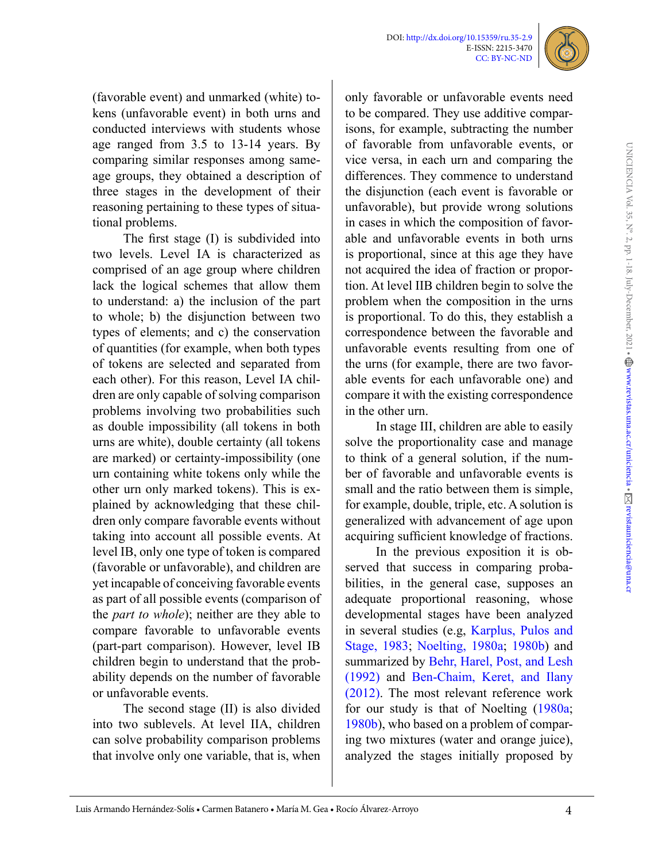

(favorable event) and unmarked (white) tokens (unfavorable event) in both urns and conducted interviews with students whose age ranged from 3.5 to 13-14 years. By comparing similar responses among sameage groups, they obtained a description of three stages in the development of their reasoning pertaining to these types of situational problems.

The first stage (I) is subdivided into two levels. Level IA is characterized as comprised of an age group where children lack the logical schemes that allow them to understand: a) the inclusion of the part to whole; b) the disjunction between two types of elements; and c) the conservation of quantities (for example, when both types of tokens are selected and separated from each other). For this reason, Level IA children are only capable of solving comparison problems involving two probabilities such as double impossibility (all tokens in both urns are white), double certainty (all tokens are marked) or certainty-impossibility (one urn containing white tokens only while the other urn only marked tokens). This is explained by acknowledging that these children only compare favorable events without taking into account all possible events. At level IB, only one type of token is compared (favorable or unfavorable), and children are yet incapable of conceiving favorable events as part of all possible events (comparison of the *part to whole*); neither are they able to compare favorable to unfavorable events (part-part comparison). However, level IB children begin to understand that the probability depends on the number of favorable or unfavorable events.

The second stage (II) is also divided into two sublevels. At level IIA, children can solve probability comparison problems that involve only one variable, that is, when

only favorable or unfavorable events need to be compared. They use additive comparisons, for example, subtracting the number of favorable from unfavorable events, or vice versa, in each urn and comparing the differences. They commence to understand the disjunction (each event is favorable or unfavorable), but provide wrong solutions in cases in which the composition of favorable and unfavorable events in both urns is proportional, since at this age they have not acquired the idea of fraction or proportion. At level IIB children begin to solve the problem when the composition in the urns is proportional. To do this, they establish a correspondence between the favorable and unfavorable events resulting from one of the urns (for example, there are two favorable events for each unfavorable one) and compare it with the existing correspondence in the other urn.

In stage III, children are able to easily solve the proportionality case and manage to think of a general solution, if the number of favorable and unfavorable events is small and the ratio between them is simple, for example, double, triple, etc. A solution is generalized with advancement of age upon acquiring sufficient knowledge of fractions.

In the previous exposition it is observed that success in comparing probabilities, in the general case, supposes an adequate proportional reasoning, whose developmental stages have been analyzed in several studies (e.g, [Karplus, Pulos and](#page-13-3)  [Stage, 1983;](#page-13-3) [Noelting, 1980a;](#page-14-5) [1980b\)](#page-14-6) and summarized by [Behr, Harel, Post, and Lesh](#page-13-4)  [\(1992\)](#page-13-4) and [Ben-Chaim, Keret, and Ilany](#page-13-5)  [\(2012\)](#page-13-5). The most relevant reference work for our study is that of Noelting [\(1980a;](#page-14-5) [1980b](#page-14-6)), who based on a problem of comparing two mixtures (water and orange juice), analyzed the stages initially proposed by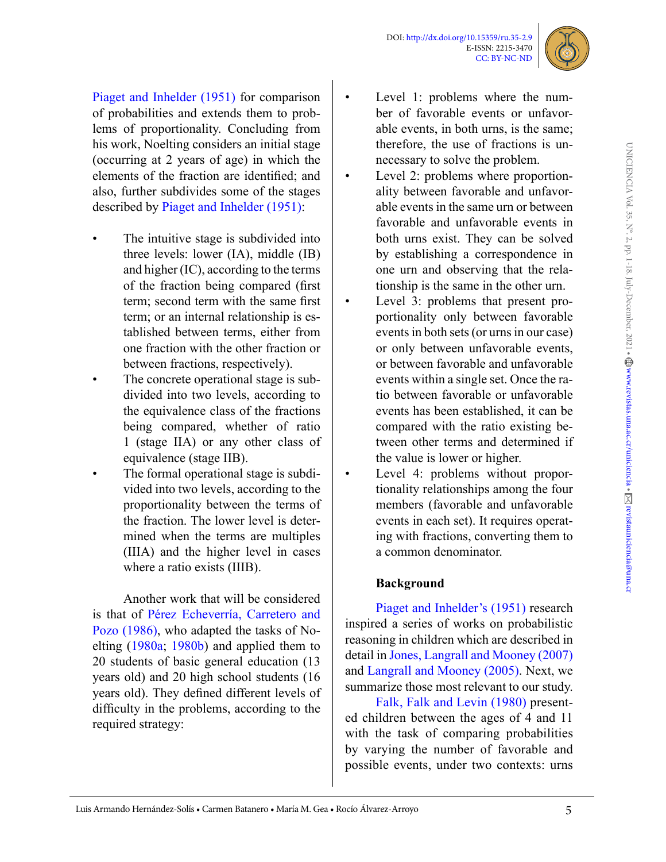

[Piaget and Inhelder \(1951\)](#page-14-3) for comparison of probabilities and extends them to problems of proportionality. Concluding from his work, Noelting considers an initial stage (occurring at 2 years of age) in which the elements of the fraction are identified; and also, further subdivides some of the stages described by [Piaget and Inhelder \(1951\)](#page-14-3):

- The intuitive stage is subdivided into three levels: lower (IA), middle (IB) and higher (IC), according to the terms of the fraction being compared (first term; second term with the same first term; or an internal relationship is established between terms, either from one fraction with the other fraction or between fractions, respectively).
- The concrete operational stage is subdivided into two levels, according to the equivalence class of the fractions being compared, whether of ratio 1 (stage IIA) or any other class of equivalence (stage IIB).
- The formal operational stage is subdivided into two levels, according to the proportionality between the terms of the fraction. The lower level is determined when the terms are multiples (IIIA) and the higher level in cases where a ratio exists (IIIB).

Another work that will be considered is that of Pérez Echeverría, Carretero and Pozo (1986), who adapted the tasks of Noelting ([1980a;](#page-14-5) [1980b\)](#page-14-6) and applied them to 20 students of basic general education (13 years old) and 20 high school students (16 years old). They defined different levels of difficulty in the problems, according to the required strategy:

- Level 1: problems where the number of favorable events or unfavorable events, in both urns, is the same; therefore, the use of fractions is unnecessary to solve the problem.
- Level 2: problems where proportionality between favorable and unfavorable events in the same urn or between favorable and unfavorable events in both urns exist. They can be solved by establishing a correspondence in one urn and observing that the relationship is the same in the other urn.
- Level 3: problems that present proportionality only between favorable events in both sets (or urns in our case) or only between unfavorable events, or between favorable and unfavorable events within a single set. Once the ratio between favorable or unfavorable events has been established, it can be compared with the ratio existing between other terms and determined if the value is lower or higher.
- Level 4: problems without proportionality relationships among the four members (favorable and unfavorable events in each set). It requires operating with fractions, converting them to a common denominator.

#### **Background**

[Piaget and Inhelder's \(1951\)](#page-14-3) research inspired a series of works on probabilistic reasoning in children which are described in detail in [Jones, Langrall and Mooney \(2007\)](#page-13-6)  and [Langrall and Mooney \(2005\)](#page-14-7). Next, we summarize those most relevant to our study.

[Falk, Falk and Levin \(1980\)](#page-13-7) presented children between the ages of 4 and 11 with the task of comparing probabilities by varying the number of favorable and possible events, under two contexts: urns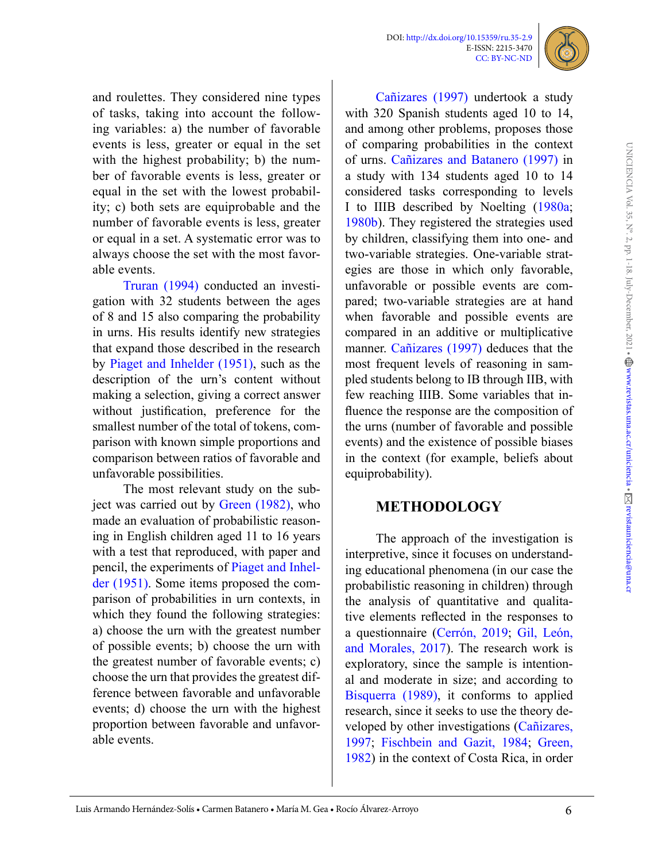

and roulettes. They considered nine types of tasks, taking into account the following variables: a) the number of favorable events is less, greater or equal in the set with the highest probability; b) the number of favorable events is less, greater or equal in the set with the lowest probability; c) both sets are equiprobable and the number of favorable events is less, greater or equal in a set. A systematic error was to always choose the set with the most favorable events.

[Truran \(1994\)](#page-14-8) conducted an investigation with 32 students between the ages of 8 and 15 also comparing the probability in urns. His results identify new strategies that expand those described in the research by [Piaget and Inhelder \(1951\),](#page-14-3) such as the description of the urn's content without making a selection, giving a correct answer without justification, preference for the smallest number of the total of tokens, comparison with known simple proportions and comparison between ratios of favorable and unfavorable possibilities.

The most relevant study on the subject was carried out by [Green \(1982\)](#page-13-8), who made an evaluation of probabilistic reasoning in English children aged 11 to 16 years with a test that reproduced, with paper and pencil, the experiments of [Piaget and Inhel](#page-14-3)[der \(1951\)](#page-14-3). Some items proposed the comparison of probabilities in urn contexts, in which they found the following strategies: a) choose the urn with the greatest number of possible events; b) choose the urn with the greatest number of favorable events; c) choose the urn that provides the greatest difference between favorable and unfavorable events; d) choose the urn with the highest proportion between favorable and unfavorable events.

Cañizares (1997) undertook a study with 320 Spanish students aged 10 to 14, and among other problems, proposes those of comparing probabilities in the context of urns. Cañizares and Batanero (1997) in a study with 134 students aged 10 to 14 considered tasks corresponding to levels I to IIIB described by Noelting [\(1980a;](#page-14-5) [1980b](#page-14-6)). They registered the strategies used by children, classifying them into one- and two-variable strategies. One-variable strategies are those in which only favorable, unfavorable or possible events are compared; two-variable strategies are at hand when favorable and possible events are compared in an additive or multiplicative manner. Cañizares (1997) deduces that the most frequent levels of reasoning in sampled students belong to IB through IIB, with few reaching IIIB. Some variables that influence the response are the composition of the urns (number of favorable and possible events) and the existence of possible biases in the context (for example, beliefs about equiprobability).

## **METHODOLOGY**

The approach of the investigation is interpretive, since it focuses on understanding educational phenomena (in our case the probabilistic reasoning in children) through the analysis of quantitative and qualitative elements reflected in the responses to a questionnaire (Cerrón, 2019; [Gil, León,](#page-13-9)  [and Morales, 2017](#page-13-9)). The research work is exploratory, since the sample is intentional and moderate in size; and according to [Bisquerra \(1989\)](#page-13-10), it conforms to applied research, since it seeks to use the theory developed by other investigations (Cañizares, 1997; [Fischbein and Gazit, 1984](#page-13-11); [Green,](#page-13-8)  [1982](#page-13-8)) in the context of Costa Rica, in order

6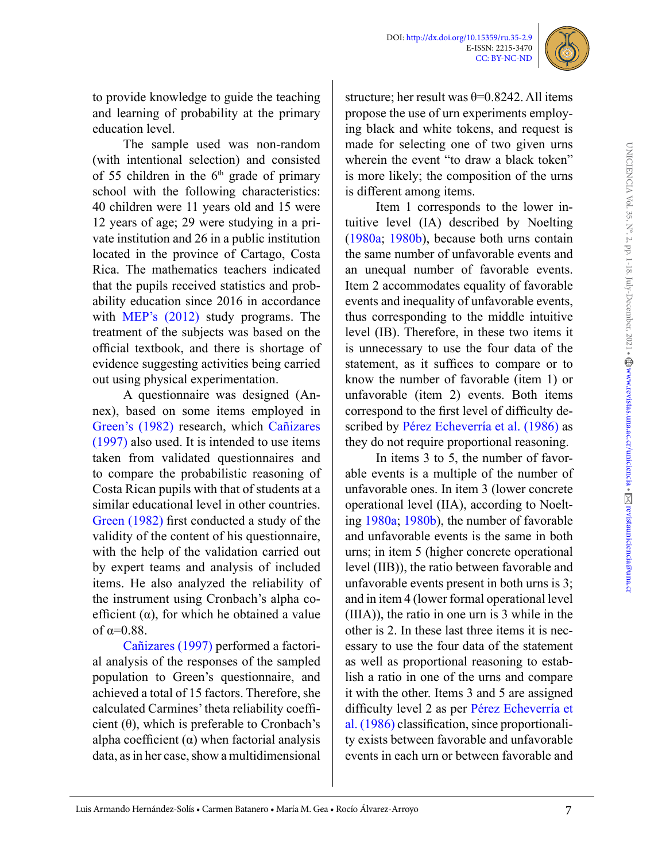

to provide knowledge to guide the teaching and learning of probability at the primary education level.

The sample used was non-random (with intentional selection) and consisted of 55 children in the  $6<sup>th</sup>$  grade of primary school with the following characteristics: 40 children were 11 years old and 15 were 12 years of age; 29 were studying in a private institution and 26 in a public institution located in the province of Cartago, Costa Rica. The mathematics teachers indicated that the pupils received statistics and probability education since 2016 in accordance with [MEP's \(2012\)](#page-14-2) study programs. The treatment of the subjects was based on the official textbook, and there is shortage of evidence suggesting activities being carried out using physical experimentation.

A questionnaire was designed (Annex), based on some items employed in [Green's \(1982\)](#page-13-8) research, which Cañizares (1997) also used. It is intended to use items taken from validated questionnaires and to compare the probabilistic reasoning of Costa Rican pupils with that of students at a similar educational level in other countries. [Green \(1982\)](#page-13-8) first conducted a study of the validity of the content of his questionnaire, with the help of the validation carried out by expert teams and analysis of included items. He also analyzed the reliability of the instrument using Cronbach's alpha coefficient  $(\alpha)$ , for which he obtained a value of  $\alpha=0.88$ .

Cañizares (1997) performed a factorial analysis of the responses of the sampled population to Green's questionnaire, and achieved a total of 15 factors. Therefore, she calculated Carmines' theta reliability coefficient  $(\theta)$ , which is preferable to Cronbach's alpha coefficient  $(\alpha)$  when factorial analysis data, as in her case, show a multidimensional

structure; her result was  $\theta = 0.8242$ . All items propose the use of urn experiments employing black and white tokens, and request is made for selecting one of two given urns wherein the event "to draw a black token" is more likely; the composition of the urns is different among items.

Item 1 corresponds to the lower intuitive level (IA) described by Noelting [\(1980a;](#page-14-5) [1980b](#page-14-6)), because both urns contain the same number of unfavorable events and an unequal number of favorable events. Item 2 accommodates equality of favorable events and inequality of unfavorable events, thus corresponding to the middle intuitive level (IB). Therefore, in these two items it is unnecessary to use the four data of the statement, as it suffices to compare or to know the number of favorable (item 1) or unfavorable (item 2) events. Both items correspond to the first level of difficulty described by Pérez Echeverría et al. (1986) as they do not require proportional reasoning.

In items 3 to 5, the number of favorable events is a multiple of the number of unfavorable ones. In item 3 (lower concrete operational level (IIA), according to Noelting [1980a](#page-14-5); [1980b](#page-14-6)), the number of favorable and unfavorable events is the same in both urns; in item 5 (higher concrete operational level (IIB)), the ratio between favorable and unfavorable events present in both urns is 3; and in item 4 (lower formal operational level (IIIA)), the ratio in one urn is 3 while in the other is 2. In these last three items it is necessary to use the four data of the statement as well as proportional reasoning to establish a ratio in one of the urns and compare it with the other. Items 3 and 5 are assigned difficulty level 2 as per Pérez Echeverría et al. (1986) classification, since proportionality exists between favorable and unfavorable events in each urn or between favorable and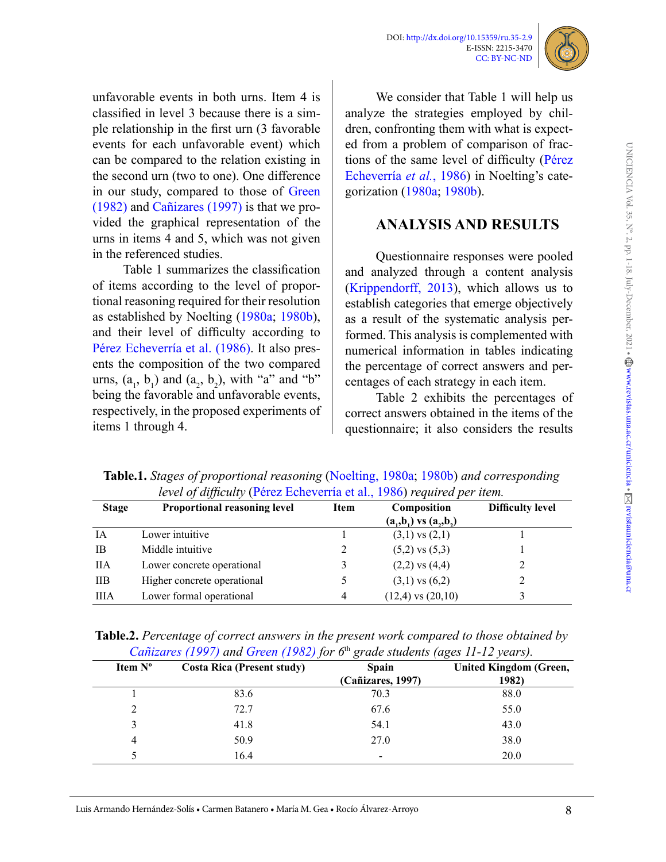



unfavorable events in both urns. Item 4 is classified in level 3 because there is a simple relationship in the first urn (3 favorable events for each unfavorable event) which can be compared to the relation existing in the second urn (two to one). One difference in our study, compared to those of [Green](#page-13-8)  [\(1982\)](#page-13-8) and Cañizares (1997) is that we provided the graphical representation of the urns in items 4 and 5, which was not given in the referenced studies.

Table 1 summarizes the classification of items according to the level of proportional reasoning required for their resolution as established by Noelting [\(1980a;](#page-14-5) [1980b\)](#page-14-6), and their level of difficulty according to Pérez Echeverría et al. (1986). It also presents the composition of the two compared urns,  $(a_1, b_1)$  and  $(a_2, b_2)$ , with "a" and "b" being the favorable and unfavorable events, respectively, in the proposed experiments of items 1 through 4.

We consider that Table 1 will help us analyze the strategies employed by children, confronting them with what is expected from a problem of comparison of fractions of the same level of difficulty (Pérez Echeverría *et al.*, 1986) in Noelting's categorization [\(1980a](#page-14-5); [1980b\)](#page-14-6).

## **ANALYSIS AND RESULTS**

Questionnaire responses were pooled and analyzed through a content analysis [\(Krippendorff, 2013](#page-14-9)), which allows us to establish categories that emerge objectively as a result of the systematic analysis performed. This analysis is complemented with numerical information in tables indicating the percentage of correct answers and percentages of each strategy in each item.

Table 2 exhibits the percentages of correct answers obtained in the items of the questionnaire; it also considers the results

| <i>level of difficulty</i> (Perez Ecneverria et al., 1986) <i>required per item.</i> |                                     |      |                            |                         |  |
|--------------------------------------------------------------------------------------|-------------------------------------|------|----------------------------|-------------------------|--|
| <b>Stage</b>                                                                         | <b>Proportional reasoning level</b> | Item | Composition                | <b>Difficulty level</b> |  |
|                                                                                      |                                     |      | $(a_1,b_1)$ vs $(a_2,b_2)$ |                         |  |
| <b>IA</b>                                                                            | Lower intuitive                     |      | $(3,1)$ vs $(2,1)$         |                         |  |
| IB.                                                                                  | Middle intuitive                    | 2    | $(5,2)$ vs $(5,3)$         |                         |  |
| ПA                                                                                   | Lower concrete operational          |      | $(2,2)$ vs $(4,4)$         |                         |  |
| <b>IIB</b>                                                                           | Higher concrete operational         |      | $(3,1)$ vs $(6,2)$         |                         |  |
| ШA                                                                                   | Lower formal operational            | 4    | $(12,4)$ vs $(20,10)$      |                         |  |

**Table.1.** *Stages of proportional reasoning* [\(Noelting, 1980a;](#page-14-5) [1980b](#page-14-6)) *and corresponding level of difficulty* (Pérez Echeverría et al., 1986) *required per item.*

|  | <b>Table.2.</b> Percentage of correct answers in the present work compared to those obtained by |  |
|--|-------------------------------------------------------------------------------------------------|--|
|  | Cañizares (1997) and Green (1982) for $6th$ grade students (ages 11-12 years).                  |  |

| Item N° | <b>Costa Rica (Present study)</b> | <b>Spain</b><br>(Cañizares, 1997) | <b>United Kingdom (Green,</b><br>1982) |
|---------|-----------------------------------|-----------------------------------|----------------------------------------|
|         | 83.6                              | 70.3                              | 88.0                                   |
| ∍       | 72.7                              | 67.6                              | 55.0                                   |
| 3       | 41.8                              | 54.1                              | 43.0                                   |
| 4       | 50.9                              | 27.0                              | 38.0                                   |
|         | 16.4                              | $\,$                              | 20.0                                   |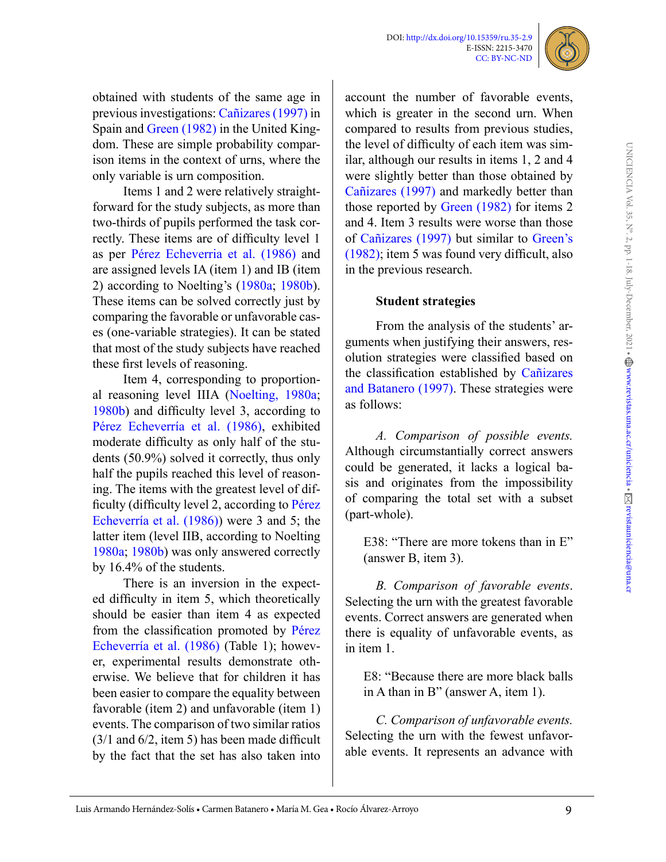

obtained with students of the same age in previous investigations: Cañizares (1997) in Spain and [Green \(1982\)](#page-13-8) in the United Kingdom. These are simple probability comparison items in the context of urns, where the only variable is urn composition.

Items 1 and 2 were relatively straightforward for the study subjects, as more than two-thirds of pupils performed the task correctly. These items are of difficulty level 1 as per Pérez Echeverria et al. (1986) and are assigned levels IA (item 1) and IB (item 2) according to Noelting's [\(1980a](#page-14-5); [1980b\)](#page-14-6). These items can be solved correctly just by comparing the favorable or unfavorable cases (one-variable strategies). It can be stated that most of the study subjects have reached these first levels of reasoning.

Item 4, corresponding to proportional reasoning level IIIA [\(Noelting, 1980a](#page-14-5); [1980b](#page-14-6)) and difficulty level 3, according to Pérez Echeverría et al. (1986), exhibited moderate difficulty as only half of the students (50.9%) solved it correctly, thus only half the pupils reached this level of reasoning. The items with the greatest level of difficulty (difficulty level 2, according to Pérez Echeverría et al. (1986)) were 3 and 5; the latter item (level IIB, according to Noelting [1980a](#page-14-5); [1980b](#page-14-6)) was only answered correctly by 16.4% of the students.

There is an inversion in the expected difficulty in item 5, which theoretically should be easier than item 4 as expected from the classification promoted by Pérez Echeverría et al. (1986) (Table 1); however, experimental results demonstrate otherwise. We believe that for children it has been easier to compare the equality between favorable (item 2) and unfavorable (item 1) events. The comparison of two similar ratios (3/1 and 6/2, item 5) has been made difficult by the fact that the set has also taken into

account the number of favorable events, which is greater in the second urn. When compared to results from previous studies, the level of difficulty of each item was similar, although our results in items 1, 2 and 4 were slightly better than those obtained by Cañizares (1997) and markedly better than those reported by [Green \(1982\)](#page-13-8) for items 2 and 4. Item 3 results were worse than those of Cañizares (1997) but similar to [Green's](#page-13-8)  [\(1982\)](#page-13-8); item 5 was found very difficult, also in the previous research.

#### **Student strategies**

From the analysis of the students' arguments when justifying their answers, resolution strategies were classified based on the classification established by Cañizares and Batanero (1997). These strategies were as follows:

*A. Comparison of possible events.* Although circumstantially correct answers could be generated, it lacks a logical basis and originates from the impossibility of comparing the total set with a subset (part-whole).

E38: "There are more tokens than in E" (answer B, item 3).

*B. Comparison of favorable events*. Selecting the urn with the greatest favorable events. Correct answers are generated when there is equality of unfavorable events, as in item 1.

E8: "Because there are more black balls in A than in B" (answer A, item 1).

*C. Comparison of unfavorable events.* Selecting the urn with the fewest unfavorable events. It represents an advance with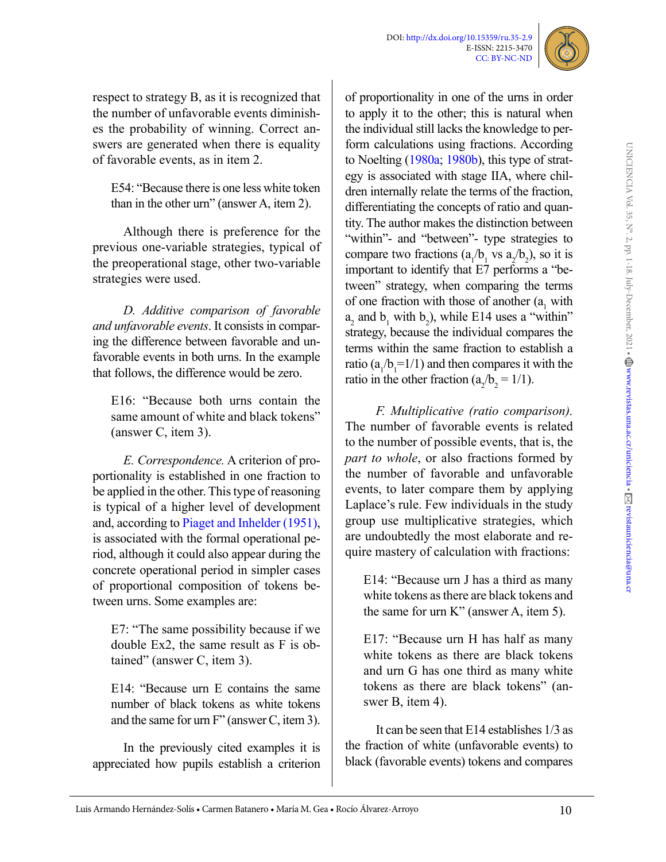

respect to strategy B, as it is recognized that the number of unfavorable events diminishes the probability of winning. Correct answers are generated when there is equality of favorable events, as in item 2.

E54: "Because there is one less white token than in the other urn" (answer A, item 2).

Although there is preference for the previous one-variable strategies, typical of the preoperational stage, other two-variable strategies were used.

*D. Additive comparison of favorable and unfavorable events*. It consists in comparing the difference between favorable and unfavorable events in both urns. In the example that follows, the difference would be zero.

E16: "Because both urns contain the same amount of white and black tokens" (answer C, item 3).

*E. Correspondence.* A criterion of proportionality is established in one fraction to be applied in the other. This type of reasoning is typical of a higher level of development and, according to [Piaget and Inhelder \(1951\),](#page-14-3) is associated with the formal operational period, although it could also appear during the concrete operational period in simpler cases of proportional composition of tokens between urns. Some examples are:

E7: "The same possibility because if we double Ex2, the same result as F is obtained" (answer C, item 3).

E14: "Because urn E contains the same number of black tokens as white tokens and the same for urn F" (answer C, item 3).

In the previously cited examples it is appreciated how pupils establish a criterion

of proportionality in one of the urns in order to apply it to the other; this is natural when the individual still lacks the knowledge to perform calculations using fractions. According to Noelting [\(1980a](#page-14-5); [1980b](#page-14-6)), this type of strategy is associated with stage IIA, where children internally relate the terms of the fraction, differentiating the concepts of ratio and quantity. The author makes the distinction between "within"- and "between"- type strategies to compare two fractions  $(a_1/b_1 \text{ vs } a_2/b_2)$ , so it is important to identify that E7 performs a "between" strategy, when comparing the terms of one fraction with those of another  $(a_1$  with  $a_2$  and  $b_1$  with  $b_2$ ), while E14 uses a "within" strategy, because the individual compares the terms within the same fraction to establish a ratio  $(a_1/b_1=1/1)$  and then compares it with the ratio in the other fraction  $(a_2/b_2 = 1/1)$ .

*F. Multiplicative (ratio comparison).* The number of favorable events is related to the number of possible events, that is, the *part to whole*, or also fractions formed by the number of favorable and unfavorable events, to later compare them by applying Laplace's rule. Few individuals in the study group use multiplicative strategies, which are undoubtedly the most elaborate and require mastery of calculation with fractions:

E14: "Because urn J has a third as many white tokens as there are black tokens and the same for urn K" (answer A, item 5).

E17: "Because urn H has half as many white tokens as there are black tokens and urn G has one third as many white tokens as there are black tokens" (answer B, item 4).

It can be seen that E14 establishes 1/3 as the fraction of white (unfavorable events) to black (favorable events) tokens and compares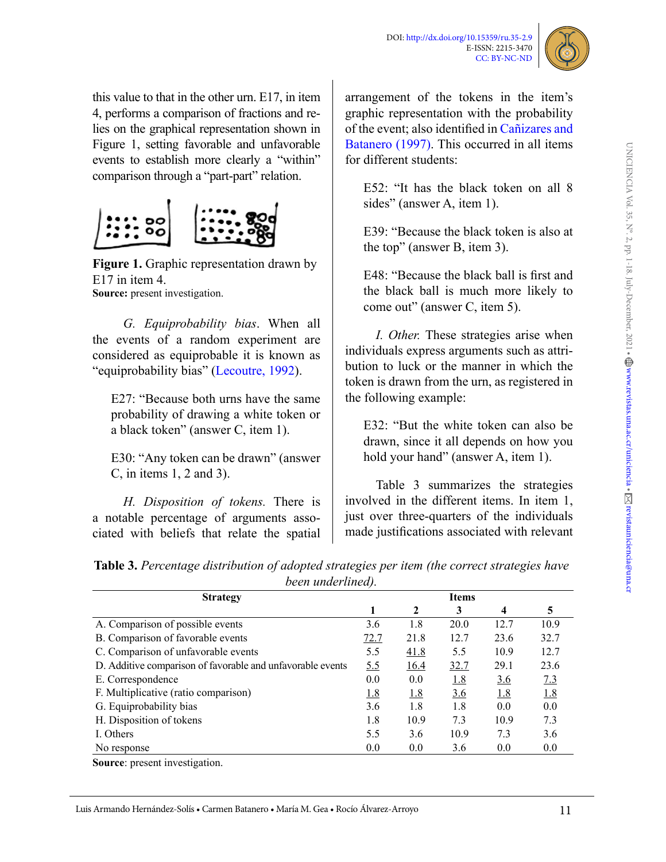

this value to that in the other urn. E17, in item 4, performs a comparison of fractions and relies on the graphical representation shown in Figure 1, setting favorable and unfavorable events to establish more clearly a "within" comparison through a "part-part" relation.



**Figure 1.** Graphic representation drawn by E17 in item 4 **Source:** present investigation.

*G. Equiprobability bias*. When all the events of a random experiment are considered as equiprobable it is known as "equiprobability bias" ([Lecoutre, 1992\)](#page-14-10).

E27: "Because both urns have the same probability of drawing a white token or a black token" (answer C, item 1).

E30: "Any token can be drawn" (answer C, in items 1, 2 and 3).

*H. Disposition of tokens.* There is a notable percentage of arguments associated with beliefs that relate the spatial arrangement of the tokens in the item's graphic representation with the probability of the event; also identified in Cañizares and Batanero (1997). This occurred in all items for different students:

E52: "It has the black token on all 8 sides" (answer A, item 1).

E39: "Because the black token is also at the top" (answer B, item 3).

E48: "Because the black ball is first and the black ball is much more likely to come out" (answer C, item 5).

*I. Other.* These strategies arise when individuals express arguments such as attribution to luck or the manner in which the token is drawn from the urn, as registered in the following example:

E32: "But the white token can also be drawn, since it all depends on how you hold your hand" (answer A, item 1).

Table 3 summarizes the strategies involved in the different items. In item 1, just over three-quarters of the individuals made justifications associated with relevant

| <b>Table 3.</b> Percentage distribution of adopted strategies per item (the correct strategies have |  |  |  |  |
|-----------------------------------------------------------------------------------------------------|--|--|--|--|
| been underlined).                                                                                   |  |  |  |  |

| <b>Strategy</b>                                            | <b>Items</b> |              |            |                         |            |
|------------------------------------------------------------|--------------|--------------|------------|-------------------------|------------|
|                                                            |              | $\mathbf{2}$ | 3          | $\overline{\mathbf{4}}$ | 5          |
| A. Comparison of possible events                           | 3.6          | 1.8          | 20.0       | 12.7                    | 10.9       |
| B. Comparison of favorable events                          | 72.7         | 21.8         | 12.7       | 23.6                    | 32.7       |
| C. Comparison of unfavorable events                        | 5.5          | 41.8         | 5.5        | 10.9                    | 12.7       |
| D. Additive comparison of favorable and unfavorable events | <u>5.5</u>   | 16.4         | 32.7       | 29.1                    | 23.6       |
| E. Correspondence                                          | 0.0          | 0.0          | <u>1.8</u> | <u>3.6</u>              | 7.3        |
| F. Multiplicative (ratio comparison)                       | <u>1.8</u>   | <u>1.8</u>   | <u>3.6</u> | <u>1.8</u>              | <u>1.8</u> |
| G. Equiprobability bias                                    | 3.6          | 1.8          | 1.8        | 0.0                     | 0.0        |
| H. Disposition of tokens                                   | 1.8          | 10.9         | 7.3        | 10.9                    | 7.3        |
| I. Others                                                  | 5.5          | 3.6          | 10.9       | 7.3                     | 3.6        |
| No response                                                | 0.0          | 0.0          | 3.6        | 0.0                     | 0.0        |

**Source**: present investigation.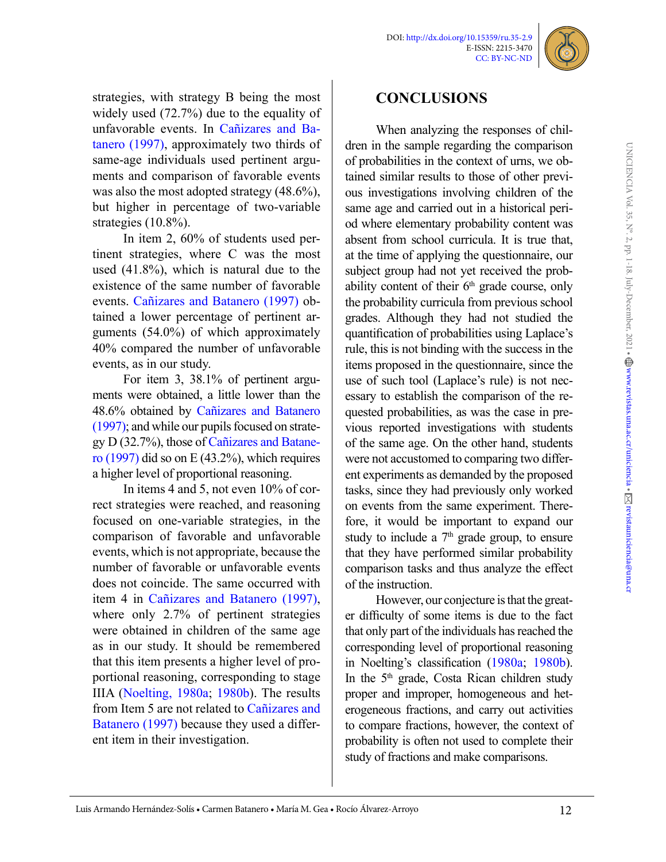

strategies, with strategy B being the most widely used (72.7%) due to the equality of unfavorable events. In Cañizares and Batanero (1997), approximately two thirds of same-age individuals used pertinent arguments and comparison of favorable events was also the most adopted strategy  $(48.6\%)$ , but higher in percentage of two-variable strategies (10.8%).

In item 2, 60% of students used pertinent strategies, where C was the most used (41.8%), which is natural due to the existence of the same number of favorable events. Cañizares and Batanero (1997) obtained a lower percentage of pertinent arguments (54.0%) of which approximately 40% compared the number of unfavorable events, as in our study.

For item 3, 38.1% of pertinent arguments were obtained, a little lower than the 48.6% obtained by Cañizares and Batanero (1997); and while our pupils focused on strategy D (32.7%), those of Cañizares and Batanero (1997) did so on E (43.2%), which requires a higher level of proportional reasoning.

In items 4 and 5, not even 10% of correct strategies were reached, and reasoning focused on one-variable strategies, in the comparison of favorable and unfavorable events, which is not appropriate, because the number of favorable or unfavorable events does not coincide. The same occurred with item 4 in Cañizares and Batanero (1997), where only 2.7% of pertinent strategies were obtained in children of the same age as in our study. It should be remembered that this item presents a higher level of proportional reasoning, corresponding to stage IIIA [\(Noelting, 1980a;](#page-14-5) [1980b](#page-14-6)). The results from Item 5 are not related to Cañizares and Batanero (1997) because they used a different item in their investigation.

# **CONCLUSIONS**

When analyzing the responses of children in the sample regarding the comparison of probabilities in the context of urns, we obtained similar results to those of other previous investigations involving children of the same age and carried out in a historical period where elementary probability content was absent from school curricula. It is true that, at the time of applying the questionnaire, our subject group had not yet received the probability content of their  $6<sup>th</sup>$  grade course, only the probability curricula from previous school grades. Although they had not studied the quantification of probabilities using Laplace's rule, this is not binding with the success in the items proposed in the questionnaire, since the use of such tool (Laplace's rule) is not necessary to establish the comparison of the requested probabilities, as was the case in previous reported investigations with students of the same age. On the other hand, students were not accustomed to comparing two different experiments as demanded by the proposed tasks, since they had previously only worked on events from the same experiment. Therefore, it would be important to expand our study to include a  $7<sup>th</sup>$  grade group, to ensure that they have performed similar probability comparison tasks and thus analyze the effect of the instruction.

However, our conjecture is that the greater difficulty of some items is due to the fact that only part of the individuals has reached the corresponding level of proportional reasoning in Noelting's classification (1980a; [1980b](#page-14-6)). In the 5<sup>th</sup> grade, Costa Rican children study proper and improper, homogeneous and heterogeneous fractions, and carry out activities to compare fractions, however, the context of probability is often not used to complete their study of fractions and make comparisons.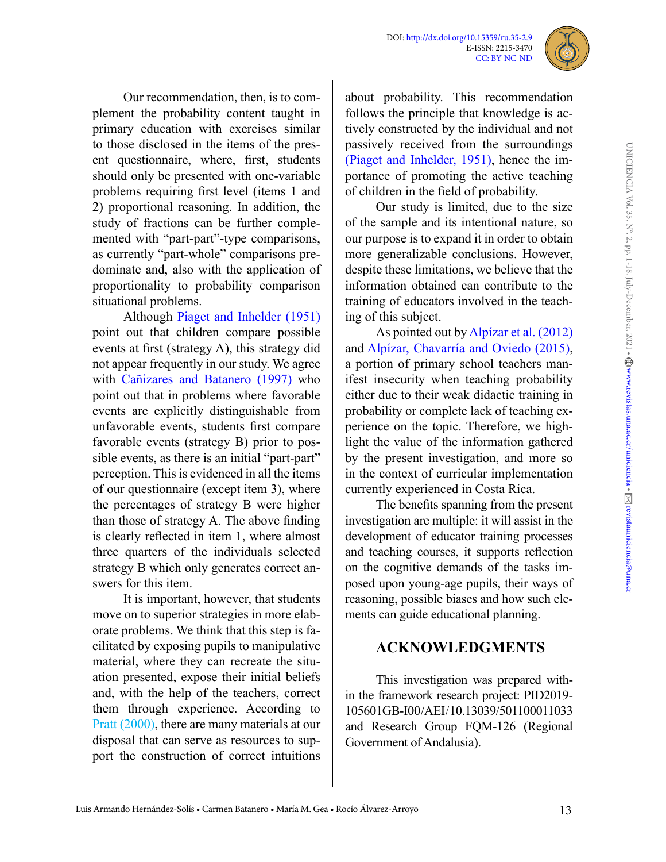

Our recommendation, then, is to complement the probability content taught in primary education with exercises similar to those disclosed in the items of the present questionnaire, where, first, students should only be presented with one-variable problems requiring first level (items 1 and 2) proportional reasoning. In addition, the study of fractions can be further complemented with "part-part"-type comparisons, as currently "part-whole" comparisons predominate and, also with the application of proportionality to probability comparison situational problems.

Although [Piaget and Inhelder \(1951\)](#page-14-3) point out that children compare possible events at first (strategy A), this strategy did not appear frequently in our study. We agree with Cañizares and Batanero (1997) who point out that in problems where favorable events are explicitly distinguishable from unfavorable events, students first compare favorable events (strategy B) prior to possible events, as there is an initial "part-part" perception. This is evidenced in all the items of our questionnaire (except item 3), where the percentages of strategy B were higher than those of strategy A. The above finding is clearly reflected in item 1, where almost three quarters of the individuals selected strategy B which only generates correct answers for this item.

It is important, however, that students move on to superior strategies in more elaborate problems. We think that this step is facilitated by exposing pupils to manipulative material, where they can recreate the situation presented, expose their initial beliefs and, with the help of the teachers, correct them through experience. According to Pratt (2000), there are many materials at our disposal that can serve as resources to support the construction of correct intuitions

about probability. This recommendation follows the principle that knowledge is actively constructed by the individual and not passively received from the surroundings [\(Piaget and Inhelder, 1951\),](#page-14-3) hence the importance of promoting the active teaching of children in the field of probability.

Our study is limited, due to the size of the sample and its intentional nature, so our purpose is to expand it in order to obtain more generalizable conclusions. However, despite these limitations, we believe that the information obtained can contribute to the training of educators involved in the teaching of this subject.

As pointed out by Alpízar et al. (2012) and Alpízar, Chavarría and Oviedo (2015), a portion of primary school teachers manifest insecurity when teaching probability either due to their weak didactic training in probability or complete lack of teaching experience on the topic. Therefore, we highlight the value of the information gathered by the present investigation, and more so in the context of curricular implementation currently experienced in Costa Rica.

The benefits spanning from the present investigation are multiple: it will assist in the development of educator training processes and teaching courses, it supports reflection on the cognitive demands of the tasks imposed upon young-age pupils, their ways of reasoning, possible biases and how such elements can guide educational planning.

## **ACKNOWLEDGMENTS**

This investigation was prepared within the framework research project: PID2019- 105601GB-I00 / AEI / 10.13039/501100011033 and Research Group FQM-126 (Regional Government of Andalusia).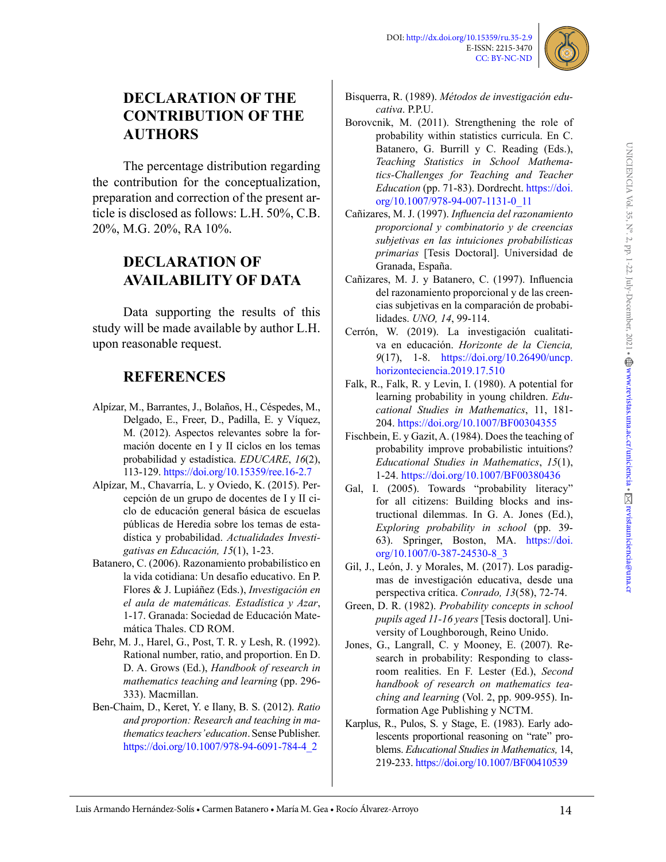

# **DECLARATION OF THE CONTRIBUTION OF THE AUTHORS**

The percentage distribution regarding the contribution for the conceptualization, preparation and correction of the present article is disclosed as follows: L.H. 50%, C.B. 20%, M.G. 20%, RA 10%.

# **DECLARATION OF AVAILABILITY OF DATA**

Data supporting the results of this study will be made available by author L.H. upon reasonable request.

## **REFERENCES**

- Alpízar, M., Barrantes, J., Bolaños, H., Céspedes, M., Delgado, E., Freer, D., Padilla, E. y Víquez, M. (2012). Aspectos relevantes sobre la formación docente en I y II ciclos en los temas probabilidad y estadística. *EDUCARE*, *16*(2), 113-129.<https://doi.org/10.15359/ree.16-2.7>
- Alpízar, M., Chavarría, L. y Oviedo, K. (2015). Percepción de un grupo de docentes de I y II ciclo de educación general básica de escuelas públicas de Heredia sobre los temas de estadística y probabilidad. *Actualidades Investigativas en Educación, 15*(1), 1-23.
- <span id="page-13-0"></span>Batanero, C. (2006). Razonamiento probabilístico en la vida cotidiana: Un desafío educativo. En P. Flores & J. Lupiáñez (Eds.), *Investigación en el aula de matemáticas. Estadística y Azar*, 1-17. Granada: Sociedad de Educación Matemática Thales. CD ROM.
- <span id="page-13-4"></span>Behr, M. J., Harel, G., Post, T. R. y Lesh, R. (1992). Rational number, ratio, and proportion. En D. D. A. Grows (Ed.), *Handbook of research in mathematics teaching and learning* (pp. 296- 333). Macmillan.
- <span id="page-13-5"></span>Ben-Chaim, D., Keret, Y. e Ilany, B. S. (2012). *Ratio and proportion: Research and teaching in mathematics teachers' education*. Sense Publisher. [https://doi.org/10.1007/978-94-6091-784-4\\_2](https://doi.org/10.1007/978-94-6091-784-4_2)
- <span id="page-13-10"></span>Bisquerra, R. (1989). *Métodos de investigación educativa*. P.P.U.
- <span id="page-13-2"></span>Borovcnik, M. (2011). Strengthening the role of probability within statistics curricula. En C. Batanero, G. Burrill y C. Reading (Eds.), *Teaching Statistics in School Mathematics-Challenges for Teaching and Teacher Education* (pp. 71-83). Dordrecht. [https://doi.](https://doi.org/10.1007/978-94-007-1131-0_11) [org/10.1007/978-94-007-1131-0\\_11](https://doi.org/10.1007/978-94-007-1131-0_11)
- Cañizares, M. J. (1997). *Influencia del razonamiento proporcional y combinatorio y de creencias subjetivas en las intuiciones probabilísticas primarias* [Tesis Doctoral]. Universidad de Granada, España.
- Cañizares, M. J. y Batanero, C. (1997). Influencia del razonamiento proporcional y de las creencias subjetivas en la comparación de probabilidades. *UNO, 14*, 99-114.
- Cerrón, W. (2019). La investigación cualitativa en educación. *Horizonte de la Ciencia, 9*(17), 1-8. [https://doi.org/10.26490/uncp.](https://doi.org/10.26490/uncp.horizonteciencia.2019.17.510) [horizonteciencia.2019.17.510](https://doi.org/10.26490/uncp.horizonteciencia.2019.17.510)
- <span id="page-13-7"></span>Falk, R., Falk, R. y Levin, I. (1980). A potential for learning probability in young children. *Educational Studies in Mathematics*, 11, 181- 204[. https://doi.org/10.1007/BF00304355]( https://doi.org/10.1007/BF00304355)
- <span id="page-13-11"></span>Fischbein, E. y Gazit, A. (1984). Does the teaching of probability improve probabilistic intuitions? *Educational Studies in Mathematics*, *15*(1), 1-24.<https://doi.org/10.1007/BF00380436>
- <span id="page-13-1"></span>Gal, I. (2005). Towards "probability literacy" for all citizens: Building blocks and instructional dilemmas. In G. A. Jones (Ed.), *Exploring probability in school* (pp. 39- 63). Springer, Boston, MA. [https://doi.](https://doi.org/10.1007/0-387-24530-8_3) [org/10.1007/0-387-24530-8\\_3](https://doi.org/10.1007/0-387-24530-8_3)
- <span id="page-13-9"></span>Gil, J., León, J. y Morales, M. (2017). Los paradigmas de investigación educativa, desde una perspectiva crítica. *Conrado, 13*(58), 72-74.
- <span id="page-13-8"></span>Green, D. R. (1982). *Probability concepts in school pupils aged 11-16 years* [Tesis doctoral]. University of Loughborough, Reino Unido.
- <span id="page-13-6"></span>Jones, G., Langrall, C. y Mooney, E. (2007). Research in probability: Responding to classroom realities. En F. Lester (Ed.), *Second handbook of research on mathematics teaching and learning* (Vol. 2, pp. 909-955). Information Age Publishing y NCTM.
- <span id="page-13-3"></span>Karplus, R., Pulos, S. y Stage, E. (1983). Early adolescents proportional reasoning on "rate" problems. *Educational Studies in Mathematics,* 14, 219-233.<https://doi.org/10.1007/BF00410539>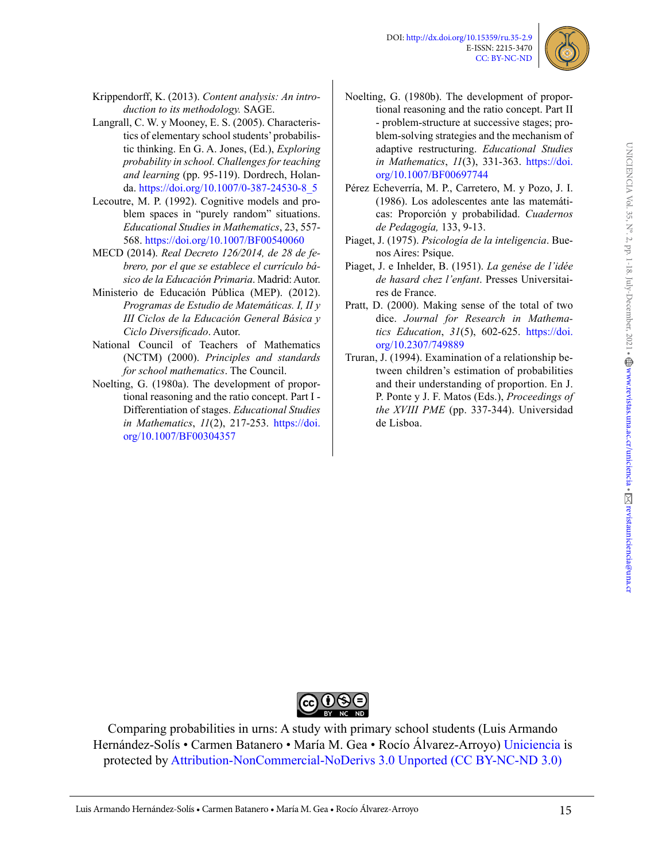

- <span id="page-14-9"></span>Krippendorff, K. (2013). *Content analysis: An introduction to its methodology.* SAGE.
- <span id="page-14-7"></span>Langrall, C. W. y Mooney, E. S. (2005). Characteristics of elementary school students' probabilistic thinking. En G. A. Jones, (Ed.), *Exploring probability in school. Challenges for teaching and learning* (pp. 95-119). Dordrech, Holanda. [https://doi.org/10.1007/0-387-24530-8\\_5](https://doi.org/10.1007/0-387-24530-8_5)
- <span id="page-14-10"></span>Lecoutre, M. P. (1992). Cognitive models and problem spaces in "purely random" situations. *Educational Studies in Mathematics*, 23, 557- 568.<https://doi.org/10.1007/BF00540060>
- <span id="page-14-0"></span>MECD (2014). *Real Decreto 126/2014, de 28 de febrero, por el que se establece el currículo básico de la Educación Primaria*. Madrid: Autor.
- <span id="page-14-2"></span>Ministerio de Educación Pública (MEP). (2012). *Programas de Estudio de Matemáticas. I, II y III Ciclos de la Educación General Básica y Ciclo Diversificado*. Autor.
- <span id="page-14-1"></span>National Council of Teachers of Mathematics (NCTM) (2000). *Principles and standards for school mathematics*. The Council.
- <span id="page-14-5"></span>Noelting, G. (1980a). The development of proportional reasoning and the ratio concept. Part I - Differentiation of stages. *Educational Studies in Mathematics*, *11*(2), 217-253. [https://doi.](https://doi.org/10.1007/BF00304357) [org/10.1007/BF00304357](https://doi.org/10.1007/BF00304357)
- <span id="page-14-6"></span>Noelting, G. (1980b). The development of proportional reasoning and the ratio concept. Part II - problem-structure at successive stages; problem-solving strategies and the mechanism of adaptive restructuring. *Educational Studies in Mathematics*, *11*(3), 331-363. [https://doi.](https://doi.org/10.1007/BF00697744) [org/10.1007/BF00697744](https://doi.org/10.1007/BF00697744)
- Pérez Echeverría, M. P., Carretero, M. y Pozo, J. I. (1986). Los adolescentes ante las matemáticas: Proporción y probabilidad. *Cuadernos de Pedagogía,* 133, 9-13.
- <span id="page-14-4"></span>Piaget, J. (1975). *Psicología de la inteligencia*. Buenos Aires: Psique.
- <span id="page-14-3"></span>Piaget, J. e Inhelder, B. (1951). *La genése de l'idée de hasard chez l'enfant*. Presses Universitaires de France.
- Pratt, D. (2000). Making sense of the total of two dice. *Journal for Research in Mathematics Education*, *31*(5), 602-625. [https://doi.](https://doi.org/10.2307/749889) [org/10.2307/749889](https://doi.org/10.2307/749889)
- <span id="page-14-8"></span>Truran, J. (1994). Examination of a relationship between children's estimation of probabilities and their understanding of proportion. En J. P. Ponte y J. F. Matos (Eds.), *Proceedings of the XVIII PME* (pp. 337-344). Universidad de Lisboa.

UNICIENCIA Vol. 35, N°. 2, pp. 1-18. July-December, 2021 • www.revistas.una.ac.cr/uniciencia • [revistauniciencia@una.cr](mailto:revistauniciencia%40una.cr?subject=)



Comparing probabilities in urns: A study with primary school students (Luis Armando Hernández-Solís • Carmen Batanero • María M. Gea • Rocío Álvarez-Arroyo) Uniciencia is protected by Attribution-NonCommercial-NoDerivs 3.0 Unported (CC BY-NC-ND 3.0)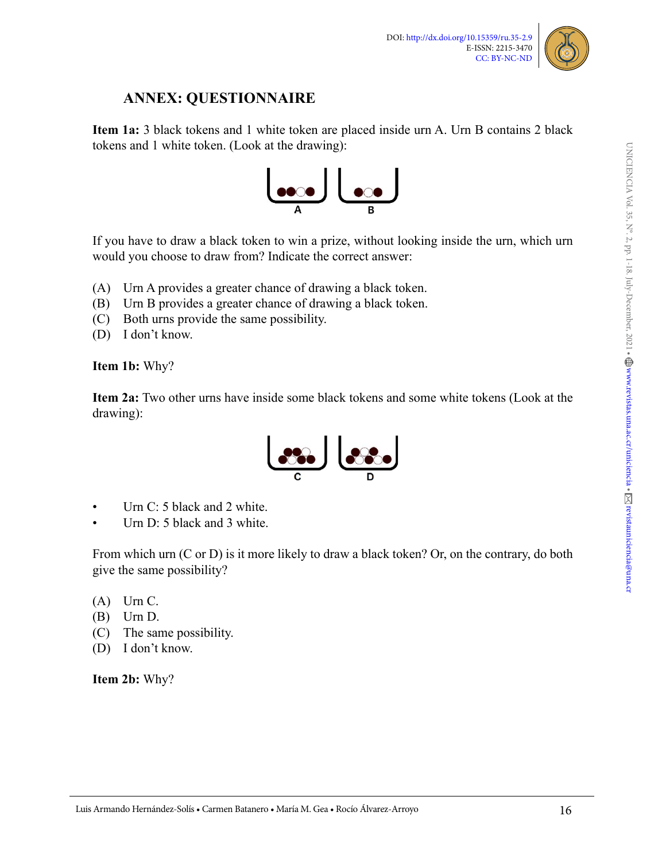

## **ANNEX: QUESTIONNAIRE**

**Item 1a:** 3 black tokens and 1 white token are placed inside urn A. Urn B contains 2 black tokens and 1 white token. (Look at the drawing):



If you have to draw a black token to win a prize, without looking inside the urn, which urn would you choose to draw from? Indicate the correct answer:

- (A) Urn A provides a greater chance of drawing a black token.
- (B) Urn B provides a greater chance of drawing a black token.
- (C) Both urns provide the same possibility.
- (D) I don't know.

#### **Item 1b:** Why?

**Item 2a:** Two other urns have inside some black tokens and some white tokens (Look at the drawing):



- Urn C: 5 black and 2 white.
- Urn D: 5 black and 3 white.

From which urn (C or D) is it more likely to draw a black token? Or, on the contrary, do both give the same possibility?

- $(A)$  Urn C.
- (B) Urn D.
- (C) The same possibility.
- (D) I don't know.

**Item 2b:** Why?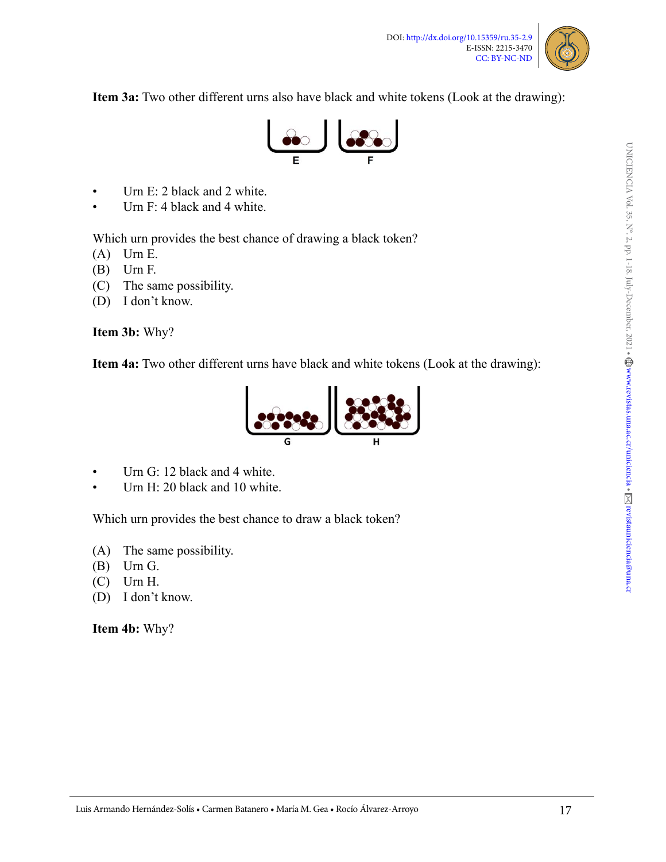

**Item 3a:** Two other different urns also have black and white tokens (Look at the drawing):



- Urn E: 2 black and 2 white.
- Urn F: 4 black and 4 white.

Which urn provides the best chance of drawing a black token?

- $(A)$  Urn E.
- (B) Urn F.
- (C) The same possibility.
- (D) I don't know.

**Item 3b:** Why?

**Item 4a:** Two other different urns have black and white tokens (Look at the drawing):



- Urn G: 12 black and 4 white.
- Urn H: 20 black and 10 white.

Which urn provides the best chance to draw a black token?

- (A) The same possibility.
- (B) Urn G.
- (C) Urn H.
- (D) I don't know.

**Item 4b:** Why?